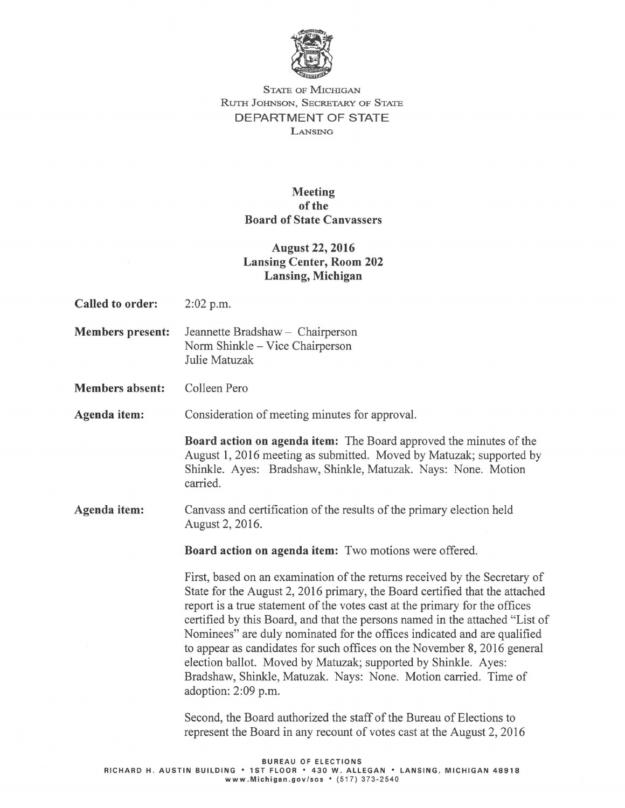

## STATE OF MICHIGAN RuTH JOHNSON, SECRETARY OF STATE DEPARTMENT OF STATE LANSING

## Meeting of the Board of State Canvassers

## August 22, 2016 Lansing Center, Room 202 Lansing, Michigan

- Called to order: 2:02 p.m.
- Members present: Jeannette Bradshaw Chairperson Norm Shinkle- Vice Chairperson Julie Matuzak
- Members absent: Colleen Pero

Agenda item: Consideration of meeting minutes for approval.

Board action on agenda item: The Board approved the minutes of the August 1, 2016 meeting as submitted. Moved by Matuzak; supported by Shinkle. Ayes: Bradshaw, Shinkle, Matuzak. Nays: None. Motion carried.

Agenda item: Canvass and certification of the results of the primary election held August 2, 2016.

Board action on agenda item: Two motions were offered.

First, based on an examination of the returns received by the Secretary of State for the August 2, 2016 primary, the Board certified that the attached report is a true statement of the votes cast at the primary for the offices certified by this Board, and that the persons named in the attached "List of Nominees" are duly nominated for the offices indicated and are qualified to appear as candidates for such offices on the November 8, 2016 general election ballot. Moved by Matuzak; supported by Shinkle. Ayes: Bradshaw, Shinkle, Matuzak. Nays: None. Motion carried. Time of adoption: 2:09 p.m.

Second, the Board authorized the staff of the Bureau of Elections to represent the Board in any recount of votes cast at the August 2, 2016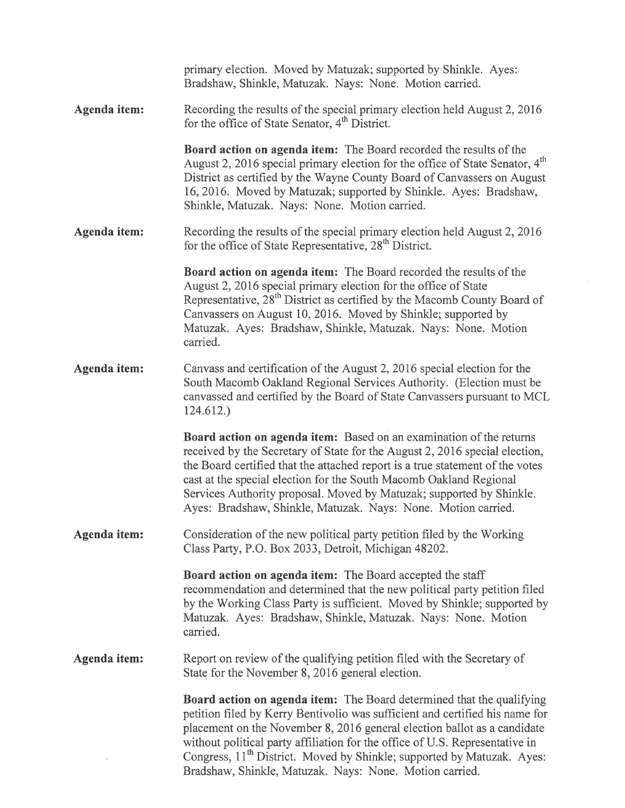|              | primary election. Moved by Matuzak; supported by Shinkle. Ayes:<br>Bradshaw, Shinkle, Matuzak. Nays: None. Motion carried.                                                                                                                                                                                                                                                                                                                                                |
|--------------|---------------------------------------------------------------------------------------------------------------------------------------------------------------------------------------------------------------------------------------------------------------------------------------------------------------------------------------------------------------------------------------------------------------------------------------------------------------------------|
| Agenda item: | Recording the results of the special primary election held August 2, 2016<br>for the office of State Senator, 4 <sup>th</sup> District.                                                                                                                                                                                                                                                                                                                                   |
|              | <b>Board action on agenda item:</b> The Board recorded the results of the<br>August 2, 2016 special primary election for the office of State Senator, 4 <sup>th</sup><br>District as certified by the Wayne County Board of Canvassers on August<br>16, 2016. Moved by Matuzak; supported by Shinkle. Ayes: Bradshaw,<br>Shinkle, Matuzak. Nays: None. Motion carried.                                                                                                    |
| Agenda item: | Recording the results of the special primary election held August 2, 2016<br>for the office of State Representative, 28 <sup>th</sup> District.                                                                                                                                                                                                                                                                                                                           |
|              | Board action on agenda item: The Board recorded the results of the<br>August 2, 2016 special primary election for the office of State<br>Representative, 28 <sup>th</sup> District as certified by the Macomb County Board of<br>Canvassers on August 10, 2016. Moved by Shinkle; supported by<br>Matuzak. Ayes: Bradshaw, Shinkle, Matuzak. Nays: None. Motion<br>carried.                                                                                               |
| Agenda item: | Canvass and certification of the August 2, 2016 special election for the<br>South Macomb Oakland Regional Services Authority. (Election must be<br>canvassed and certified by the Board of State Canvassers pursuant to MCL<br>124.612.                                                                                                                                                                                                                                   |
|              | Board action on agenda item: Based on an examination of the returns<br>received by the Secretary of State for the August 2, 2016 special election,<br>the Board certified that the attached report is a true statement of the votes<br>cast at the special election for the South Macomb Oakland Regional<br>Services Authority proposal. Moved by Matuzak; supported by Shinkle.<br>Ayes: Bradshaw, Shinkle, Matuzak. Nays: None. Motion carried.                        |
| Agenda item: | Consideration of the new political party petition filed by the Working<br>Class Party, P.O. Box 2033, Detroit, Michigan 48202.                                                                                                                                                                                                                                                                                                                                            |
|              | <b>Board action on agenda item:</b> The Board accepted the staff<br>recommendation and determined that the new political party petition filed<br>by the Working Class Party is sufficient. Moved by Shinkle; supported by<br>Matuzak. Ayes: Bradshaw, Shinkle, Matuzak. Nays: None. Motion<br>carried.                                                                                                                                                                    |
| Agenda item: | Report on review of the qualifying petition filed with the Secretary of<br>State for the November 8, 2016 general election.                                                                                                                                                                                                                                                                                                                                               |
|              | <b>Board action on agenda item:</b> The Board determined that the qualifying<br>petition filed by Kerry Bentivolio was sufficient and certified his name for<br>placement on the November 8, 2016 general election ballot as a candidate<br>without political party affiliation for the office of U.S. Representative in<br>Congress, 11 <sup>th</sup> District. Moved by Shinkle; supported by Matuzak. Ayes:<br>Bradshaw, Shinkle, Matuzak. Nays: None. Motion carried. |